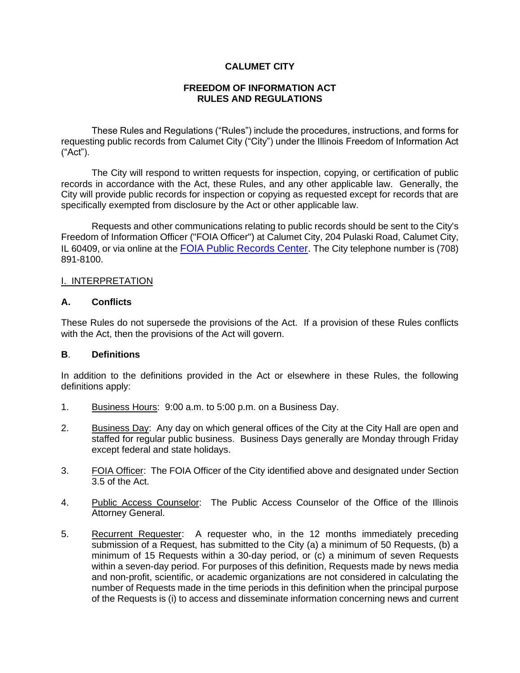## **CALUMET CITY**

### **FREEDOM OF INFORMATION ACT RULES AND REGULATIONS**

These Rules and Regulations ("Rules") include the procedures, instructions, and forms for requesting public records from Calumet City ("City") under the Illinois Freedom of Information Act ("Act").

The City will respond to written requests for inspection, copying, or certification of public records in accordance with the Act, these Rules, and any other applicable law. Generally, the City will provide public records for inspection or copying as requested except for records that are specifically exempted from disclosure by the Act or other applicable law.

Requests and other communications relating to public records should be sent to the City's Freedom of Information Officer ("FOIA Officer") at Calumet City, 204 Pulaski Road, Calumet City, IL 60409, or via online at the [FOIA Public Records Center.](https://calumetcityil.govqa.us/WEBAPP/_rs/supporthome.aspx) The City telephone number is (708) 891-8100.

### I. INTERPRETATION

### **A. Conflicts**

These Rules do not supersede the provisions of the Act. If a provision of these Rules conflicts with the Act, then the provisions of the Act will govern.

### **B**. **Definitions**

In addition to the definitions provided in the Act or elsewhere in these Rules, the following definitions apply:

- 1. Business Hours: 9:00 a.m. to 5:00 p.m. on a Business Day.
- 2. Business Day: Any day on which general offices of the City at the City Hall are open and staffed for regular public business. Business Days generally are Monday through Friday except federal and state holidays.
- 3. FOIA Officer: The FOIA Officer of the City identified above and designated under Section 3.5 of the Act.
- 4. Public Access Counselor: The Public Access Counselor of the Office of the Illinois Attorney General.
- 5. Recurrent Requester: A requester who, in the 12 months immediately preceding submission of a Request, has submitted to the City (a) a minimum of 50 Requests, (b) a minimum of 15 Requests within a 30-day period, or (c) a minimum of seven Requests within a seven-day period. For purposes of this definition, Requests made by news media and non-profit, scientific, or academic organizations are not considered in calculating the number of Requests made in the time periods in this definition when the principal purpose of the Requests is (i) to access and disseminate information concerning news and current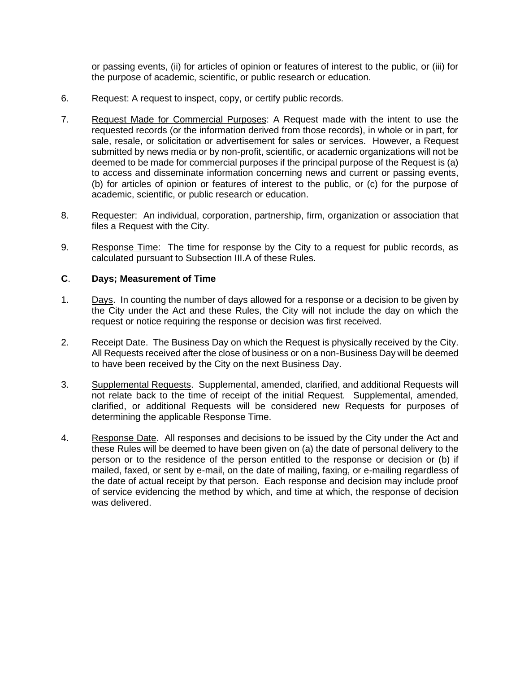or passing events, (ii) for articles of opinion or features of interest to the public, or (iii) for the purpose of academic, scientific, or public research or education.

- 6. Request: A request to inspect, copy, or certify public records.
- 7. Request Made for Commercial Purposes: A Request made with the intent to use the requested records (or the information derived from those records), in whole or in part, for sale, resale, or solicitation or advertisement for sales or services. However, a Request submitted by news media or by non-profit, scientific, or academic organizations will not be deemed to be made for commercial purposes if the principal purpose of the Request is (a) to access and disseminate information concerning news and current or passing events, (b) for articles of opinion or features of interest to the public, or (c) for the purpose of academic, scientific, or public research or education.
- 8. Requester: An individual, corporation, partnership, firm, organization or association that files a Request with the City.
- 9. Response Time: The time for response by the City to a request for public records, as calculated pursuant to Subsection III.A of these Rules.

### **C**. **Days; Measurement of Time**

- 1. Days. In counting the number of days allowed for a response or a decision to be given by the City under the Act and these Rules, the City will not include the day on which the request or notice requiring the response or decision was first received.
- 2. Receipt Date. The Business Day on which the Request is physically received by the City. All Requests received after the close of business or on a non-Business Day will be deemed to have been received by the City on the next Business Day.
- 3. Supplemental Requests. Supplemental, amended, clarified, and additional Requests will not relate back to the time of receipt of the initial Request. Supplemental, amended, clarified, or additional Requests will be considered new Requests for purposes of determining the applicable Response Time.
- 4. Response Date. All responses and decisions to be issued by the City under the Act and these Rules will be deemed to have been given on (a) the date of personal delivery to the person or to the residence of the person entitled to the response or decision or (b) if mailed, faxed, or sent by e-mail, on the date of mailing, faxing, or e-mailing regardless of the date of actual receipt by that person. Each response and decision may include proof of service evidencing the method by which, and time at which, the response of decision was delivered.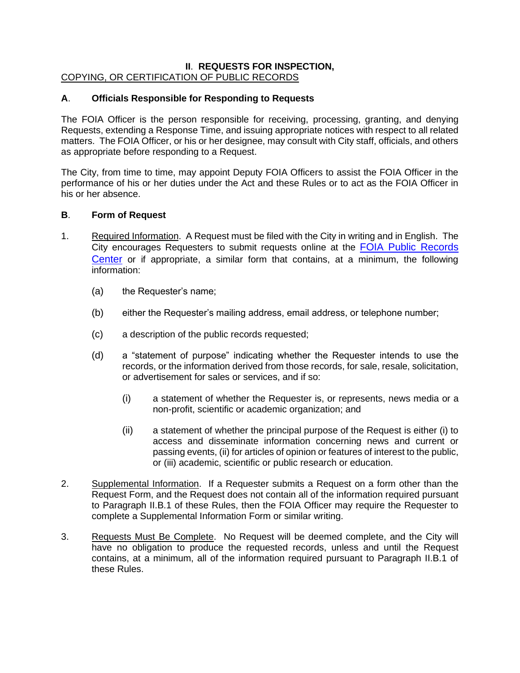# **II**. **REQUESTS FOR INSPECTION,** COPYING, OR CERTIFICATION OF PUBLIC RECORDS

# **A**. **Officials Responsible for Responding to Requests**

The FOIA Officer is the person responsible for receiving, processing, granting, and denying Requests, extending a Response Time, and issuing appropriate notices with respect to all related matters. The FOIA Officer, or his or her designee, may consult with City staff, officials, and others as appropriate before responding to a Request.

The City, from time to time, may appoint Deputy FOIA Officers to assist the FOIA Officer in the performance of his or her duties under the Act and these Rules or to act as the FOIA Officer in his or her absence.

# **B**. **Form of Request**

- 1. Required Information. A Request must be filed with the City in writing and in English. The City encourages Requesters to submit requests online at the **FOIA Public Records** [Center](https://calumetcityil.govqa.us/WEBAPP/_rs/supporthome.aspx) or if appropriate, a similar form that contains, at a minimum, the following information:
	- (a) the Requester's name;
	- (b) either the Requester's mailing address, email address, or telephone number;
	- (c) a description of the public records requested;
	- (d) a "statement of purpose" indicating whether the Requester intends to use the records, or the information derived from those records, for sale, resale, solicitation, or advertisement for sales or services, and if so:
		- (i) a statement of whether the Requester is, or represents, news media or a non-profit, scientific or academic organization; and
		- (ii) a statement of whether the principal purpose of the Request is either (i) to access and disseminate information concerning news and current or passing events, (ii) for articles of opinion or features of interest to the public, or (iii) academic, scientific or public research or education.
- 2. Supplemental Information. If a Requester submits a Request on a form other than the Request Form, and the Request does not contain all of the information required pursuant to Paragraph II.B.1 of these Rules, then the FOIA Officer may require the Requester to complete a Supplemental Information Form or similar writing.
- 3. Requests Must Be Complete. No Request will be deemed complete, and the City will have no obligation to produce the requested records, unless and until the Request contains, at a minimum, all of the information required pursuant to Paragraph II.B.1 of these Rules.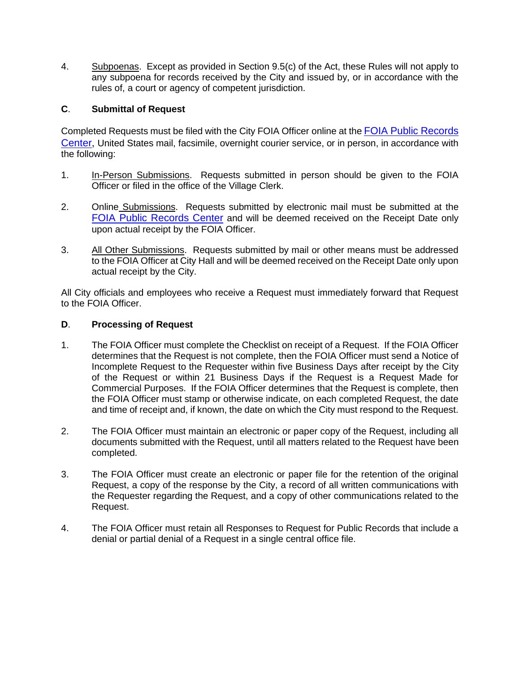4. Subpoenas. Except as provided in Section 9.5(c) of the Act, these Rules will not apply to any subpoena for records received by the City and issued by, or in accordance with the rules of, a court or agency of competent jurisdiction.

# **C**. **Submittal of Request**

Completed Requests must be filed with the City FOIA Officer online at the [FOIA Public Records](https://calumetcityil.govqa.us/WEBAPP/_rs/supporthome.aspx)  [Center](https://calumetcityil.govqa.us/WEBAPP/_rs/supporthome.aspx), United States mail, facsimile, overnight courier service, or in person, in accordance with the following:

- 1. In-Person Submissions. Requests submitted in person should be given to the FOIA Officer or filed in the office of the Village Clerk.
- 2. Online Submissions. Requests submitted by electronic mail must be submitted at the [FOIA Public Records Center](https://calumetcityil.govqa.us/WEBAPP/_rs/supporthome.aspx) and will be deemed received on the Receipt Date only upon actual receipt by the FOIA Officer.
- 3. All Other Submissions. Requests submitted by mail or other means must be addressed to the FOIA Officer at City Hall and will be deemed received on the Receipt Date only upon actual receipt by the City.

All City officials and employees who receive a Request must immediately forward that Request to the FOIA Officer.

# **D**. **Processing of Request**

- 1. The FOIA Officer must complete the Checklist on receipt of a Request. If the FOIA Officer determines that the Request is not complete, then the FOIA Officer must send a Notice of Incomplete Request to the Requester within five Business Days after receipt by the City of the Request or within 21 Business Days if the Request is a Request Made for Commercial Purposes. If the FOIA Officer determines that the Request is complete, then the FOIA Officer must stamp or otherwise indicate, on each completed Request, the date and time of receipt and, if known, the date on which the City must respond to the Request.
- 2. The FOIA Officer must maintain an electronic or paper copy of the Request, including all documents submitted with the Request, until all matters related to the Request have been completed.
- 3. The FOIA Officer must create an electronic or paper file for the retention of the original Request, a copy of the response by the City, a record of all written communications with the Requester regarding the Request, and a copy of other communications related to the Request.
- 4. The FOIA Officer must retain all Responses to Request for Public Records that include a denial or partial denial of a Request in a single central office file.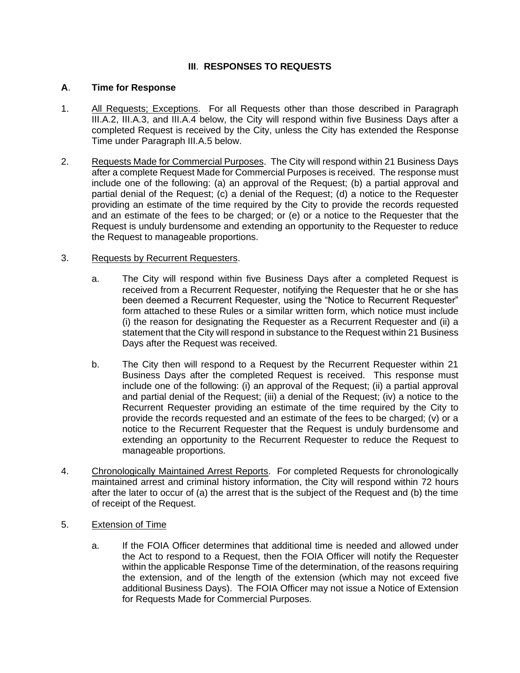# **III**. **RESPONSES TO REQUESTS**

### **A**. **Time for Response**

- 1. All Requests; Exceptions. For all Requests other than those described in Paragraph III.A.2, III.A.3, and III.A.4 below, the City will respond within five Business Days after a completed Request is received by the City, unless the City has extended the Response Time under Paragraph III.A.5 below.
- 2. Requests Made for Commercial Purposes. The City will respond within 21 Business Days after a complete Request Made for Commercial Purposes is received. The response must include one of the following: (a) an approval of the Request; (b) a partial approval and partial denial of the Request; (c) a denial of the Request; (d) a notice to the Requester providing an estimate of the time required by the City to provide the records requested and an estimate of the fees to be charged; or (e) or a notice to the Requester that the Request is unduly burdensome and extending an opportunity to the Requester to reduce the Request to manageable proportions.

### 3. Requests by Recurrent Requesters.

- a. The City will respond within five Business Days after a completed Request is received from a Recurrent Requester, notifying the Requester that he or she has been deemed a Recurrent Requester, using the "Notice to Recurrent Requester" form attached to these Rules or a similar written form, which notice must include (i) the reason for designating the Requester as a Recurrent Requester and (ii) a statement that the City will respond in substance to the Request within 21 Business Days after the Request was received.
- b. The City then will respond to a Request by the Recurrent Requester within 21 Business Days after the completed Request is received. This response must include one of the following: (i) an approval of the Request; (ii) a partial approval and partial denial of the Request; (iii) a denial of the Request; (iv) a notice to the Recurrent Requester providing an estimate of the time required by the City to provide the records requested and an estimate of the fees to be charged; (v) or a notice to the Recurrent Requester that the Request is unduly burdensome and extending an opportunity to the Recurrent Requester to reduce the Request to manageable proportions.
- 4. Chronologically Maintained Arrest Reports. For completed Requests for chronologically maintained arrest and criminal history information, the City will respond within 72 hours after the later to occur of (a) the arrest that is the subject of the Request and (b) the time of receipt of the Request.
- 5. Extension of Time
	- a. If the FOIA Officer determines that additional time is needed and allowed under the Act to respond to a Request, then the FOIA Officer will notify the Requester within the applicable Response Time of the determination, of the reasons requiring the extension, and of the length of the extension (which may not exceed five additional Business Days). The FOIA Officer may not issue a Notice of Extension for Requests Made for Commercial Purposes.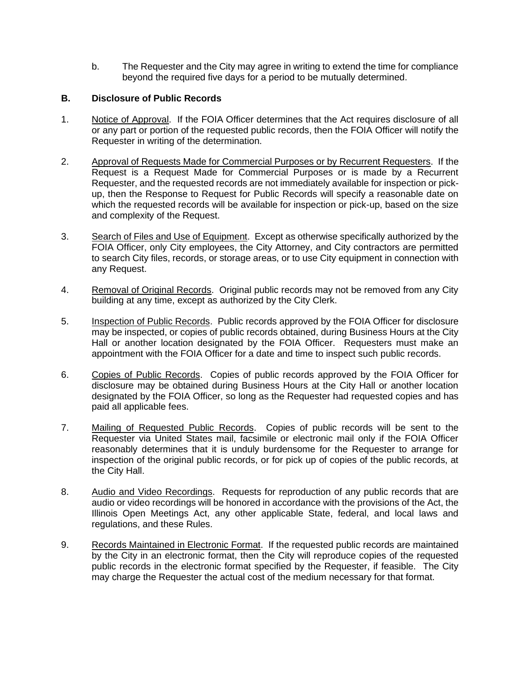b. The Requester and the City may agree in writing to extend the time for compliance beyond the required five days for a period to be mutually determined.

# **B. Disclosure of Public Records**

- 1. Notice of Approval. If the FOIA Officer determines that the Act requires disclosure of all or any part or portion of the requested public records, then the FOIA Officer will notify the Requester in writing of the determination.
- 2. Approval of Requests Made for Commercial Purposes or by Recurrent Requesters. If the Request is a Request Made for Commercial Purposes or is made by a Recurrent Requester, and the requested records are not immediately available for inspection or pickup, then the Response to Request for Public Records will specify a reasonable date on which the requested records will be available for inspection or pick-up, based on the size and complexity of the Request.
- 3. Search of Files and Use of Equipment. Except as otherwise specifically authorized by the FOIA Officer, only City employees, the City Attorney, and City contractors are permitted to search City files, records, or storage areas, or to use City equipment in connection with any Request.
- 4. Removal of Original Records. Original public records may not be removed from any City building at any time, except as authorized by the City Clerk.
- 5. Inspection of Public Records. Public records approved by the FOIA Officer for disclosure may be inspected, or copies of public records obtained, during Business Hours at the City Hall or another location designated by the FOIA Officer. Requesters must make an appointment with the FOIA Officer for a date and time to inspect such public records.
- 6. Copies of Public Records. Copies of public records approved by the FOIA Officer for disclosure may be obtained during Business Hours at the City Hall or another location designated by the FOIA Officer, so long as the Requester had requested copies and has paid all applicable fees.
- 7. Mailing of Requested Public Records. Copies of public records will be sent to the Requester via United States mail, facsimile or electronic mail only if the FOIA Officer reasonably determines that it is unduly burdensome for the Requester to arrange for inspection of the original public records, or for pick up of copies of the public records, at the City Hall.
- 8. Audio and Video Recordings. Requests for reproduction of any public records that are audio or video recordings will be honored in accordance with the provisions of the Act, the Illinois Open Meetings Act, any other applicable State, federal, and local laws and regulations, and these Rules.
- 9. Records Maintained in Electronic Format. If the requested public records are maintained by the City in an electronic format, then the City will reproduce copies of the requested public records in the electronic format specified by the Requester, if feasible. The City may charge the Requester the actual cost of the medium necessary for that format.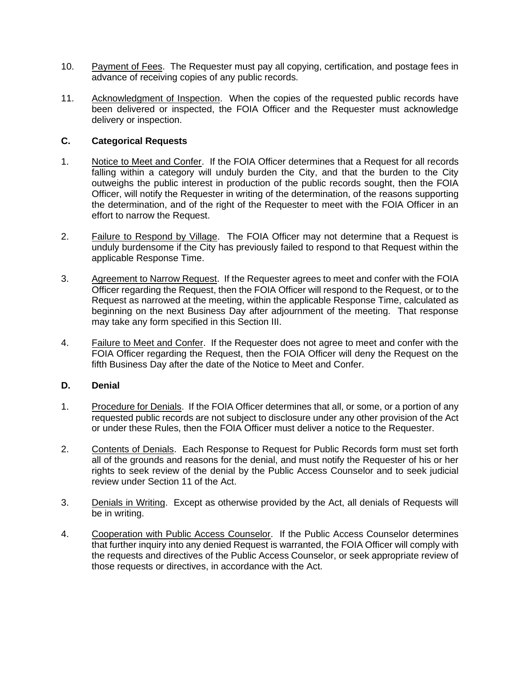- 10. Payment of Fees. The Requester must pay all copying, certification, and postage fees in advance of receiving copies of any public records.
- 11. Acknowledgment of Inspection. When the copies of the requested public records have been delivered or inspected, the FOIA Officer and the Requester must acknowledge delivery or inspection.

### **C. Categorical Requests**

- 1. Notice to Meet and Confer. If the FOIA Officer determines that a Request for all records falling within a category will unduly burden the City, and that the burden to the City outweighs the public interest in production of the public records sought, then the FOIA Officer, will notify the Requester in writing of the determination, of the reasons supporting the determination, and of the right of the Requester to meet with the FOIA Officer in an effort to narrow the Request.
- 2. Failure to Respond by Village. The FOIA Officer may not determine that a Request is unduly burdensome if the City has previously failed to respond to that Request within the applicable Response Time.
- 3. Agreement to Narrow Request. If the Requester agrees to meet and confer with the FOIA Officer regarding the Request, then the FOIA Officer will respond to the Request, or to the Request as narrowed at the meeting, within the applicable Response Time, calculated as beginning on the next Business Day after adjournment of the meeting. That response may take any form specified in this Section III.
- 4. Failure to Meet and Confer. If the Requester does not agree to meet and confer with the FOIA Officer regarding the Request, then the FOIA Officer will deny the Request on the fifth Business Day after the date of the Notice to Meet and Confer.

# **D. Denial**

- 1. Procedure for Denials. If the FOIA Officer determines that all, or some, or a portion of any requested public records are not subject to disclosure under any other provision of the Act or under these Rules, then the FOIA Officer must deliver a notice to the Requester.
- 2. Contents of Denials. Each Response to Request for Public Records form must set forth all of the grounds and reasons for the denial, and must notify the Requester of his or her rights to seek review of the denial by the Public Access Counselor and to seek judicial review under Section 11 of the Act.
- 3. Denials in Writing. Except as otherwise provided by the Act, all denials of Requests will be in writing.
- 4. Cooperation with Public Access Counselor. If the Public Access Counselor determines that further inquiry into any denied Request is warranted, the FOIA Officer will comply with the requests and directives of the Public Access Counselor, or seek appropriate review of those requests or directives, in accordance with the Act.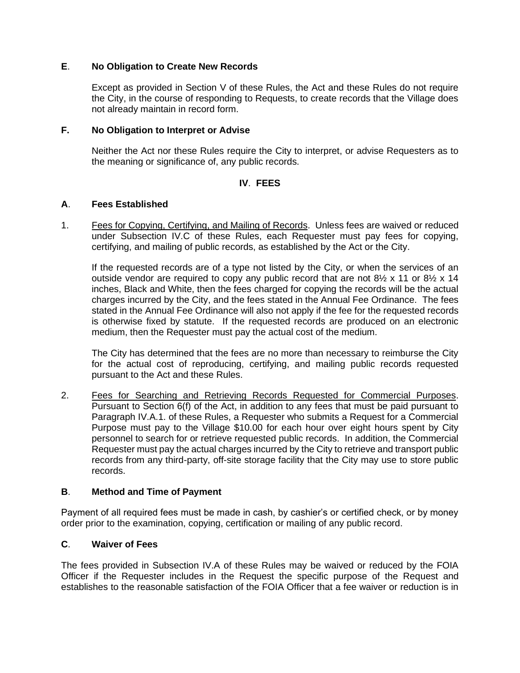### **E**. **No Obligation to Create New Records**

Except as provided in Section V of these Rules, the Act and these Rules do not require the City, in the course of responding to Requests, to create records that the Village does not already maintain in record form.

### **F. No Obligation to Interpret or Advise**

Neither the Act nor these Rules require the City to interpret, or advise Requesters as to the meaning or significance of, any public records.

### **IV**. **FEES**

### **A**. **Fees Established**

1. Fees for Copying, Certifying, and Mailing of Records. Unless fees are waived or reduced under Subsection IV.C of these Rules, each Requester must pay fees for copying, certifying, and mailing of public records, as established by the Act or the City.

If the requested records are of a type not listed by the City, or when the services of an outside vendor are required to copy any public record that are not  $8\frac{1}{2} \times 11$  or  $8\frac{1}{2} \times 14$ inches, Black and White, then the fees charged for copying the records will be the actual charges incurred by the City, and the fees stated in the Annual Fee Ordinance. The fees stated in the Annual Fee Ordinance will also not apply if the fee for the requested records is otherwise fixed by statute. If the requested records are produced on an electronic medium, then the Requester must pay the actual cost of the medium.

The City has determined that the fees are no more than necessary to reimburse the City for the actual cost of reproducing, certifying, and mailing public records requested pursuant to the Act and these Rules.

2. Fees for Searching and Retrieving Records Requested for Commercial Purposes. Pursuant to Section 6(f) of the Act, in addition to any fees that must be paid pursuant to Paragraph IV.A.1. of these Rules, a Requester who submits a Request for a Commercial Purpose must pay to the Village \$10.00 for each hour over eight hours spent by City personnel to search for or retrieve requested public records. In addition, the Commercial Requester must pay the actual charges incurred by the City to retrieve and transport public records from any third-party, off-site storage facility that the City may use to store public records.

### **B**. **Method and Time of Payment**

Payment of all required fees must be made in cash, by cashier's or certified check, or by money order prior to the examination, copying, certification or mailing of any public record.

# **C**. **Waiver of Fees**

The fees provided in Subsection IV.A of these Rules may be waived or reduced by the FOIA Officer if the Requester includes in the Request the specific purpose of the Request and establishes to the reasonable satisfaction of the FOIA Officer that a fee waiver or reduction is in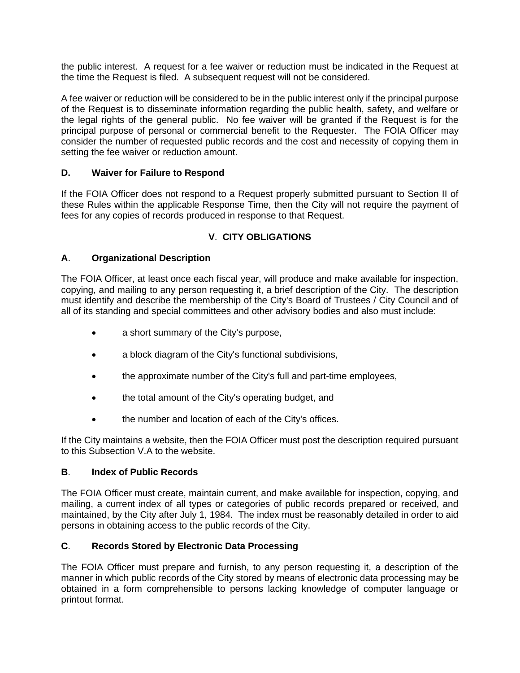the public interest. A request for a fee waiver or reduction must be indicated in the Request at the time the Request is filed. A subsequent request will not be considered.

A fee waiver or reduction will be considered to be in the public interest only if the principal purpose of the Request is to disseminate information regarding the public health, safety, and welfare or the legal rights of the general public. No fee waiver will be granted if the Request is for the principal purpose of personal or commercial benefit to the Requester. The FOIA Officer may consider the number of requested public records and the cost and necessity of copying them in setting the fee waiver or reduction amount.

# **D. Waiver for Failure to Respond**

If the FOIA Officer does not respond to a Request properly submitted pursuant to Section II of these Rules within the applicable Response Time, then the City will not require the payment of fees for any copies of records produced in response to that Request.

# **V**. **CITY OBLIGATIONS**

# **A**. **Organizational Description**

The FOIA Officer, at least once each fiscal year, will produce and make available for inspection, copying, and mailing to any person requesting it, a brief description of the City. The description must identify and describe the membership of the City's Board of Trustees / City Council and of all of its standing and special committees and other advisory bodies and also must include:

- a short summary of the City's purpose,
- a block diagram of the City's functional subdivisions,
- the approximate number of the City's full and part-time employees,
- the total amount of the City's operating budget, and
- the number and location of each of the City's offices.

If the City maintains a website, then the FOIA Officer must post the description required pursuant to this Subsection V.A to the website.

# **B**. **Index of Public Records**

The FOIA Officer must create, maintain current, and make available for inspection, copying, and mailing, a current index of all types or categories of public records prepared or received, and maintained, by the City after July 1, 1984. The index must be reasonably detailed in order to aid persons in obtaining access to the public records of the City.

# **C**. **Records Stored by Electronic Data Processing**

The FOIA Officer must prepare and furnish, to any person requesting it, a description of the manner in which public records of the City stored by means of electronic data processing may be obtained in a form comprehensible to persons lacking knowledge of computer language or printout format.